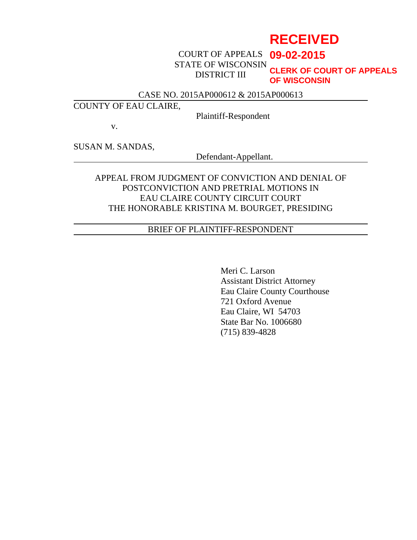# **RECEIVED**

COURT OF APPEALS **09-02-2015** STATE OF WISCONSIN DISTRICT III

**CLERK OF COURT OF APPEALS OF WISCONSIN**

### CASE NO. 2015AP000612 & 2015AP000613

### COUNTY OF EAU CLAIRE,

Plaintiff-Respondent

v.

SUSAN M. SANDAS,

Defendant-Appellant.

### APPEAL FROM JUDGMENT OF CONVICTION AND DENIAL OF POSTCONVICTION AND PRETRIAL MOTIONS IN EAU CLAIRE COUNTY CIRCUIT COURT THE HONORABLE KRISTINA M. BOURGET, PRESIDING

### BRIEF OF PLAINTIFF-RESPONDENT

Meri C. Larson Assistant District Attorney Eau Claire County Courthouse 721 Oxford Avenue Eau Claire, WI 54703 State Bar No. 1006680 (715) 839-4828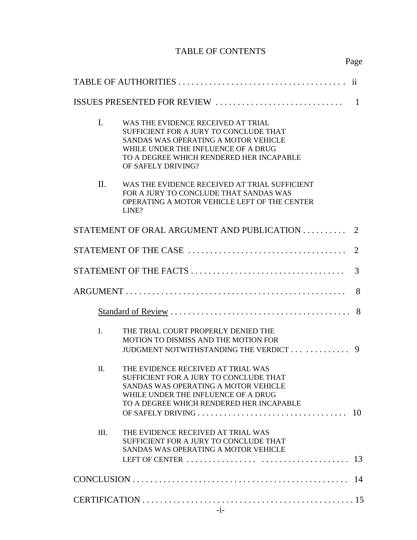## TABLE OF CONTENTS

| 11                               |                                                                                                                                                                                                                               |                             |  |
|----------------------------------|-------------------------------------------------------------------------------------------------------------------------------------------------------------------------------------------------------------------------------|-----------------------------|--|
| ISSUES PRESENTED FOR REVIEW<br>1 |                                                                                                                                                                                                                               |                             |  |
| L.                               | WAS THE EVIDENCE RECEIVED AT TRIAL<br>SUFFICIENT FOR A JURY TO CONCLUDE THAT<br>SANDAS WAS OPERATING A MOTOR VEHICLE<br>WHILE UNDER THE INFLUENCE OF A DRUG<br>TO A DEGREE WHICH RENDERED HER INCAPABLE<br>OF SAFELY DRIVING? |                             |  |
| II.                              | WAS THE EVIDENCE RECEIVED AT TRIAL SUFFICIENT<br>FOR A JURY TO CONCLUDE THAT SANDAS WAS<br>OPERATING A MOTOR VEHICLE LEFT OF THE CENTER<br>LINE?                                                                              |                             |  |
|                                  | STATEMENT OF ORAL ARGUMENT AND PUBLICATION                                                                                                                                                                                    | $\mathcal{D}_{\mathcal{L}}$ |  |
|                                  |                                                                                                                                                                                                                               | 2                           |  |
|                                  |                                                                                                                                                                                                                               |                             |  |
|                                  |                                                                                                                                                                                                                               | 8                           |  |
|                                  |                                                                                                                                                                                                                               |                             |  |
| $\mathbf{I}$ .                   | THE TRIAL COURT PROPERLY DENIED THE<br><b>MOTION TO DISMISS AND THE MOTION FOR</b><br>JUDGMENT NOTWITHSTANDING THE VERDICT                                                                                                    | 9                           |  |
| $\Pi$ .                          | THE EVIDENCE RECEIVED AT TRIAL WAS<br>SUFFICIENT FOR A JURY TO CONCLUDE THAT<br>SANDAS WAS OPERATING A MOTOR VEHICLE<br>WHILE UNDER THE INFLUENCE OF A DRUG<br>TO A DEGREE WHICH RENDERED HER INCAPABLE                       |                             |  |
| III.                             | THE EVIDENCE RECEIVED AT TRIAL WAS<br>SUFFICIENT FOR A JURY TO CONCLUDE THAT<br>SANDAS WAS OPERATING A MOTOR VEHICLE                                                                                                          |                             |  |
|                                  |                                                                                                                                                                                                                               |                             |  |
|                                  |                                                                                                                                                                                                                               |                             |  |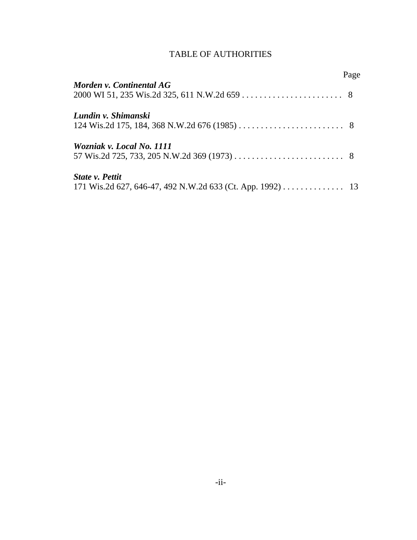### TABLE OF AUTHORITIES

|                                                           | Page |
|-----------------------------------------------------------|------|
| Morden v. Continental AG                                  |      |
|                                                           |      |
| Lundin v. Shimanski                                       |      |
|                                                           |      |
| Wozniak v. Local No. 1111                                 |      |
|                                                           |      |
| <b>State v. Pettit</b>                                    |      |
| 171 Wis.2d 627, 646-47, 492 N.W.2d 633 (Ct. App. 1992) 13 |      |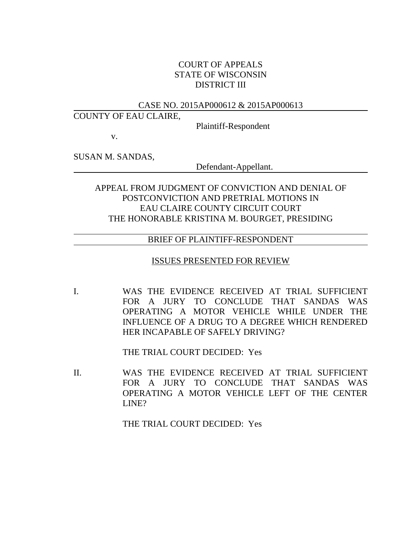### COURT OF APPEALS STATE OF WISCONSIN DISTRICT III

#### CASE NO. 2015AP000612 & 2015AP000613

#### COUNTY OF EAU CLAIRE,

Plaintiff-Respondent

v.

SUSAN M. SANDAS,

Defendant-Appellant.

### APPEAL FROM JUDGMENT OF CONVICTION AND DENIAL OF POSTCONVICTION AND PRETRIAL MOTIONS IN EAU CLAIRE COUNTY CIRCUIT COURT THE HONORABLE KRISTINA M. BOURGET, PRESIDING

#### BRIEF OF PLAINTIFF-RESPONDENT

#### ISSUES PRESENTED FOR REVIEW

I. WAS THE EVIDENCE RECEIVED AT TRIAL SUFFICIENT FOR A JURY TO CONCLUDE THAT SANDAS WAS OPERATING A MOTOR VEHICLE WHILE UNDER THE INFLUENCE OF A DRUG TO A DEGREE WHICH RENDERED HER INCAPABLE OF SAFELY DRIVING?

THE TRIAL COURT DECIDED: Yes

II. WAS THE EVIDENCE RECEIVED AT TRIAL SUFFICIENT FOR A JURY TO CONCLUDE THAT SANDAS WAS OPERATING A MOTOR VEHICLE LEFT OF THE CENTER LINE?

THE TRIAL COURT DECIDED: Yes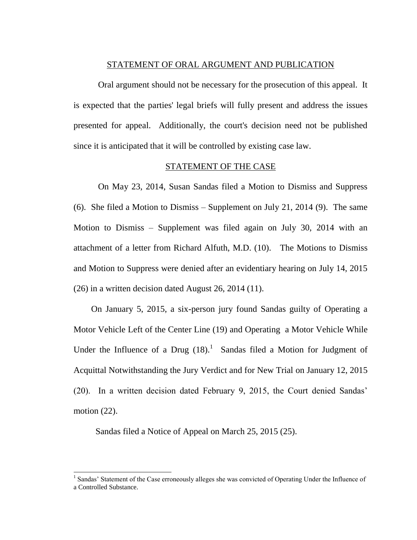#### STATEMENT OF ORAL ARGUMENT AND PUBLICATION

Oral argument should not be necessary for the prosecution of this appeal. It is expected that the parties' legal briefs will fully present and address the issues presented for appeal. Additionally, the court's decision need not be published since it is anticipated that it will be controlled by existing case law.

#### STATEMENT OF THE CASE

On May 23, 2014, Susan Sandas filed a Motion to Dismiss and Suppress (6). She filed a Motion to Dismiss – Supplement on July 21, 2014 (9). The same Motion to Dismiss – Supplement was filed again on July 30, 2014 with an attachment of a letter from Richard Alfuth, M.D. (10). The Motions to Dismiss and Motion to Suppress were denied after an evidentiary hearing on July 14, 2015 (26) in a written decision dated August 26, 2014 (11).

 On January 5, 2015, a six-person jury found Sandas guilty of Operating a Motor Vehicle Left of the Center Line (19) and Operating a Motor Vehicle While Under the Influence of a Drug  $(18)$ .<sup>1</sup> Sandas filed a Motion for Judgment of Acquittal Notwithstanding the Jury Verdict and for New Trial on January 12, 2015 (20). In a written decision dated February 9, 2015, the Court denied Sandas' motion  $(22)$ .

Sandas filed a Notice of Appeal on March 25, 2015 (25).

 $\overline{a}$ 

<sup>&</sup>lt;sup>1</sup> Sandas' Statement of the Case erroneously alleges she was convicted of Operating Under the Influence of a Controlled Substance.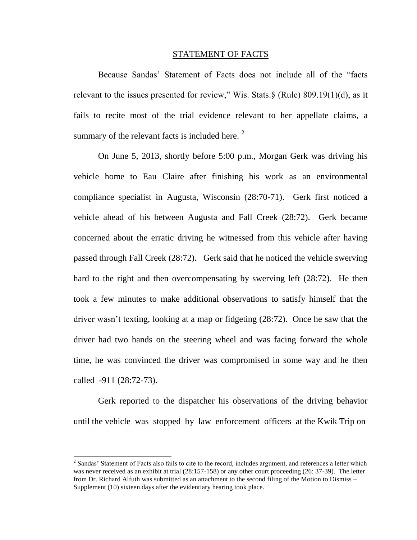#### STATEMENT OF FACTS

 Because Sandas' Statement of Facts does not include all of the "facts relevant to the issues presented for review," Wis. Stats.§ (Rule) 809.19(1)(d), as it fails to recite most of the trial evidence relevant to her appellate claims, a summary of the relevant facts is included here.  $2^2$ 

On June 5, 2013, shortly before 5:00 p.m., Morgan Gerk was driving his vehicle home to Eau Claire after finishing his work as an environmental compliance specialist in Augusta, Wisconsin (28:70-71). Gerk first noticed a vehicle ahead of his between Augusta and Fall Creek (28:72). Gerk became concerned about the erratic driving he witnessed from this vehicle after having passed through Fall Creek (28:72). Gerk said that he noticed the vehicle swerving hard to the right and then overcompensating by swerving left (28:72). He then took a few minutes to make additional observations to satisfy himself that the driver wasn't texting, looking at a map or fidgeting (28:72). Once he saw that the driver had two hands on the steering wheel and was facing forward the whole time, he was convinced the driver was compromised in some way and he then called -911 (28:72-73).

Gerk reported to the dispatcher his observations of the driving behavior until the vehicle was stopped by law enforcement officers at the Kwik Trip on

 $\overline{a}$ 

 $2^2$  Sandas' Statement of Facts also fails to cite to the record, includes argument, and references a letter which was never received as an exhibit at trial (28:157-158) or any other court proceeding (26: 37-39). The letter from Dr. Richard Alfuth was submitted as an attachment to the second filing of the Motion to Dismiss – Supplement (10) sixteen days after the evidentiary hearing took place.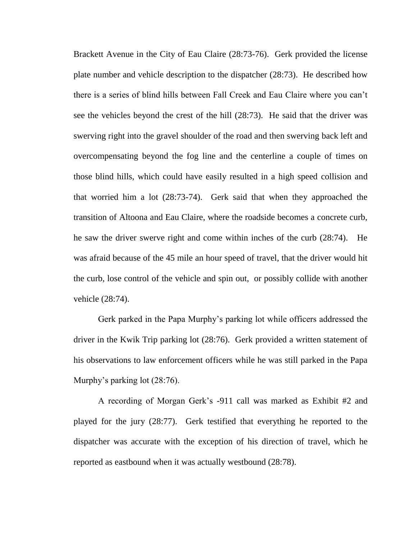Brackett Avenue in the City of Eau Claire (28:73-76). Gerk provided the license plate number and vehicle description to the dispatcher (28:73). He described how there is a series of blind hills between Fall Creek and Eau Claire where you can't see the vehicles beyond the crest of the hill (28:73). He said that the driver was swerving right into the gravel shoulder of the road and then swerving back left and overcompensating beyond the fog line and the centerline a couple of times on those blind hills, which could have easily resulted in a high speed collision and that worried him a lot (28:73-74). Gerk said that when they approached the transition of Altoona and Eau Claire, where the roadside becomes a concrete curb, he saw the driver swerve right and come within inches of the curb (28:74). He was afraid because of the 45 mile an hour speed of travel, that the driver would hit the curb, lose control of the vehicle and spin out, or possibly collide with another vehicle (28:74).

Gerk parked in the Papa Murphy's parking lot while officers addressed the driver in the Kwik Trip parking lot (28:76). Gerk provided a written statement of his observations to law enforcement officers while he was still parked in the Papa Murphy's parking lot (28:76).

A recording of Morgan Gerk's -911 call was marked as Exhibit #2 and played for the jury (28:77). Gerk testified that everything he reported to the dispatcher was accurate with the exception of his direction of travel, which he reported as eastbound when it was actually westbound (28:78).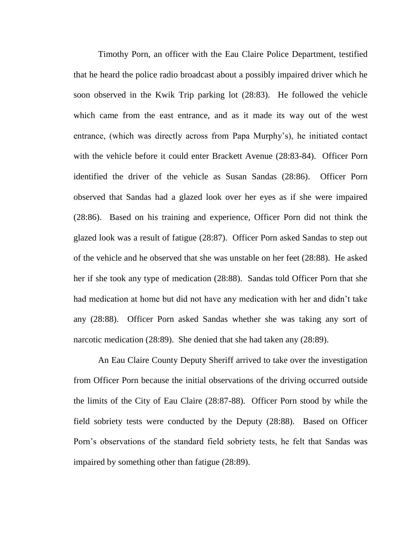Timothy Porn, an officer with the Eau Claire Police Department, testified that he heard the police radio broadcast about a possibly impaired driver which he soon observed in the Kwik Trip parking lot (28:83). He followed the vehicle which came from the east entrance, and as it made its way out of the west entrance, (which was directly across from Papa Murphy's), he initiated contact with the vehicle before it could enter Brackett Avenue (28:83-84). Officer Porn identified the driver of the vehicle as Susan Sandas (28:86). Officer Porn observed that Sandas had a glazed look over her eyes as if she were impaired (28:86). Based on his training and experience, Officer Porn did not think the glazed look was a result of fatigue (28:87). Officer Porn asked Sandas to step out of the vehicle and he observed that she was unstable on her feet (28:88). He asked her if she took any type of medication (28:88). Sandas told Officer Porn that she had medication at home but did not have any medication with her and didn't take any (28:88). Officer Porn asked Sandas whether she was taking any sort of narcotic medication (28:89). She denied that she had taken any (28:89).

An Eau Claire County Deputy Sheriff arrived to take over the investigation from Officer Porn because the initial observations of the driving occurred outside the limits of the City of Eau Claire (28:87-88). Officer Porn stood by while the field sobriety tests were conducted by the Deputy (28:88). Based on Officer Porn's observations of the standard field sobriety tests, he felt that Sandas was impaired by something other than fatigue (28:89).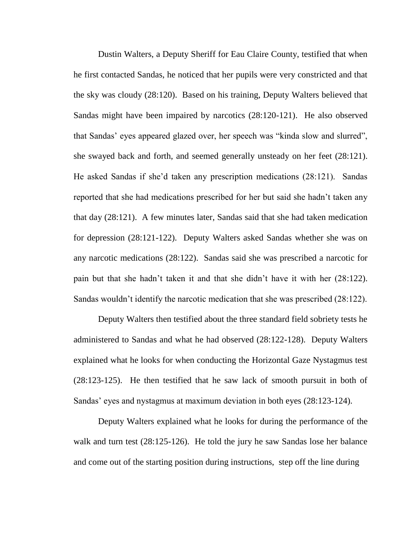Dustin Walters, a Deputy Sheriff for Eau Claire County, testified that when he first contacted Sandas, he noticed that her pupils were very constricted and that the sky was cloudy (28:120). Based on his training, Deputy Walters believed that Sandas might have been impaired by narcotics (28:120-121). He also observed that Sandas' eyes appeared glazed over, her speech was "kinda slow and slurred", she swayed back and forth, and seemed generally unsteady on her feet (28:121). He asked Sandas if she'd taken any prescription medications (28:121). Sandas reported that she had medications prescribed for her but said she hadn't taken any that day (28:121). A few minutes later, Sandas said that she had taken medication for depression (28:121-122). Deputy Walters asked Sandas whether she was on any narcotic medications (28:122). Sandas said she was prescribed a narcotic for pain but that she hadn't taken it and that she didn't have it with her (28:122). Sandas wouldn't identify the narcotic medication that she was prescribed (28:122).

Deputy Walters then testified about the three standard field sobriety tests he administered to Sandas and what he had observed (28:122-128). Deputy Walters explained what he looks for when conducting the Horizontal Gaze Nystagmus test (28:123-125). He then testified that he saw lack of smooth pursuit in both of Sandas' eyes and nystagmus at maximum deviation in both eyes (28:123-124).

Deputy Walters explained what he looks for during the performance of the walk and turn test (28:125-126). He told the jury he saw Sandas lose her balance and come out of the starting position during instructions, step off the line during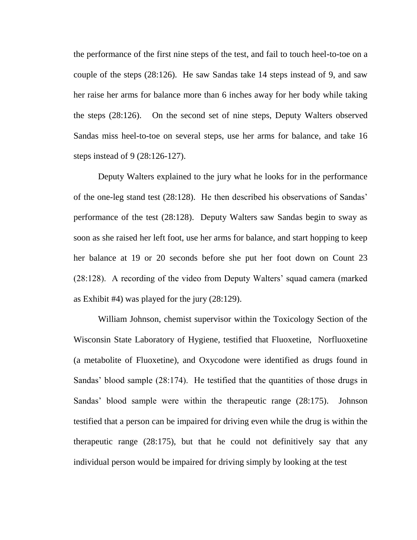the performance of the first nine steps of the test, and fail to touch heel-to-toe on a couple of the steps (28:126). He saw Sandas take 14 steps instead of 9, and saw her raise her arms for balance more than 6 inches away for her body while taking the steps (28:126). On the second set of nine steps, Deputy Walters observed Sandas miss heel-to-toe on several steps, use her arms for balance, and take 16 steps instead of 9 (28:126-127).

Deputy Walters explained to the jury what he looks for in the performance of the one-leg stand test (28:128). He then described his observations of Sandas' performance of the test (28:128). Deputy Walters saw Sandas begin to sway as soon as she raised her left foot, use her arms for balance, and start hopping to keep her balance at 19 or 20 seconds before she put her foot down on Count 23 (28:128). A recording of the video from Deputy Walters' squad camera (marked as Exhibit #4) was played for the jury (28:129).

William Johnson, chemist supervisor within the Toxicology Section of the Wisconsin State Laboratory of Hygiene, testified that Fluoxetine, Norfluoxetine (a metabolite of Fluoxetine), and Oxycodone were identified as drugs found in Sandas' blood sample (28:174). He testified that the quantities of those drugs in Sandas' blood sample were within the therapeutic range (28:175). Johnson testified that a person can be impaired for driving even while the drug is within the therapeutic range (28:175), but that he could not definitively say that any individual person would be impaired for driving simply by looking at the test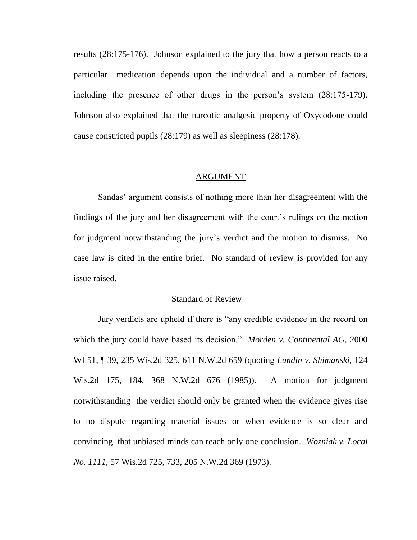results (28:175-176). Johnson explained to the jury that how a person reacts to a particular medication depends upon the individual and a number of factors, including the presence of other drugs in the person's system (28:175-179). Johnson also explained that the narcotic analgesic property of Oxycodone could cause constricted pupils (28:179) as well as sleepiness (28:178).

#### ARGUMENT

Sandas' argument consists of nothing more than her disagreement with the findings of the jury and her disagreement with the court's rulings on the motion for judgment notwithstanding the jury's verdict and the motion to dismiss. No case law is cited in the entire brief. No standard of review is provided for any issue raised.

#### Standard of Review

Jury verdicts are upheld if there is "any credible evidence in the record on which the jury could have based its decision." *Morden v. Continental AG*, 2000 WI 51, ¶ 39, 235 Wis.2d 325, 611 N.W.2d 659 (quoting *Lundin v. Shimanski*, 124 Wis.2d 175, 184, 368 N.W.2d 676 (1985)). A motion for judgment notwithstanding the verdict should only be granted when the evidence gives rise to no dispute regarding material issues or when evidence is so clear and convincing that unbiased minds can reach only one conclusion. *Wozniak v. Local No. 1111*, 57 Wis.2d 725, 733, 205 N.W.2d 369 (1973).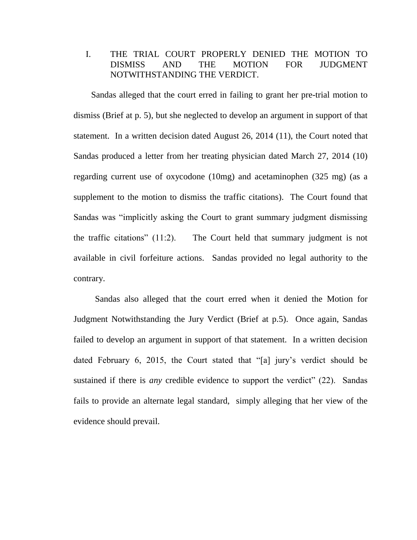### I. THE TRIAL COURT PROPERLY DENIED THE MOTION TO DISMISS AND THE MOTION FOR JUDGMENT NOTWITHSTANDING THE VERDICT.

 Sandas alleged that the court erred in failing to grant her pre-trial motion to dismiss (Brief at p. 5), but she neglected to develop an argument in support of that statement. In a written decision dated August 26, 2014 (11), the Court noted that Sandas produced a letter from her treating physician dated March 27, 2014 (10) regarding current use of oxycodone (10mg) and acetaminophen (325 mg) (as a supplement to the motion to dismiss the traffic citations). The Court found that Sandas was "implicitly asking the Court to grant summary judgment dismissing the traffic citations" (11:2). The Court held that summary judgment is not available in civil forfeiture actions. Sandas provided no legal authority to the contrary.

Sandas also alleged that the court erred when it denied the Motion for Judgment Notwithstanding the Jury Verdict (Brief at p.5). Once again, Sandas failed to develop an argument in support of that statement. In a written decision dated February 6, 2015, the Court stated that "[a] jury's verdict should be sustained if there is *any* credible evidence to support the verdict" (22). Sandas fails to provide an alternate legal standard, simply alleging that her view of the evidence should prevail.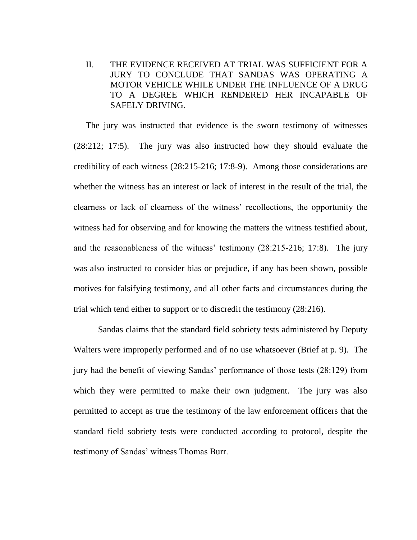II. THE EVIDENCE RECEIVED AT TRIAL WAS SUFFICIENT FOR A JURY TO CONCLUDE THAT SANDAS WAS OPERATING A MOTOR VEHICLE WHILE UNDER THE INFLUENCE OF A DRUG TO A DEGREE WHICH RENDERED HER INCAPABLE OF SAFELY DRIVING.

The jury was instructed that evidence is the sworn testimony of witnesses (28:212; 17:5). The jury was also instructed how they should evaluate the credibility of each witness (28:215-216; 17:8-9). Among those considerations are whether the witness has an interest or lack of interest in the result of the trial, the clearness or lack of clearness of the witness' recollections, the opportunity the witness had for observing and for knowing the matters the witness testified about, and the reasonableness of the witness' testimony (28:215-216; 17:8). The jury was also instructed to consider bias or prejudice, if any has been shown, possible motives for falsifying testimony, and all other facts and circumstances during the trial which tend either to support or to discredit the testimony (28:216).

Sandas claims that the standard field sobriety tests administered by Deputy Walters were improperly performed and of no use whatsoever (Brief at p. 9). The jury had the benefit of viewing Sandas' performance of those tests (28:129) from which they were permitted to make their own judgment. The jury was also permitted to accept as true the testimony of the law enforcement officers that the standard field sobriety tests were conducted according to protocol, despite the testimony of Sandas' witness Thomas Burr.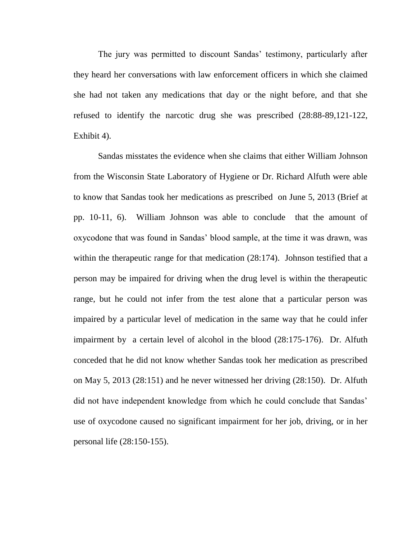The jury was permitted to discount Sandas' testimony, particularly after they heard her conversations with law enforcement officers in which she claimed she had not taken any medications that day or the night before, and that she refused to identify the narcotic drug she was prescribed (28:88-89,121-122, Exhibit 4).

Sandas misstates the evidence when she claims that either William Johnson from the Wisconsin State Laboratory of Hygiene or Dr. Richard Alfuth were able to know that Sandas took her medications as prescribed on June 5, 2013 (Brief at pp. 10-11, 6). William Johnson was able to conclude that the amount of oxycodone that was found in Sandas' blood sample, at the time it was drawn, was within the therapeutic range for that medication (28:174). Johnson testified that a person may be impaired for driving when the drug level is within the therapeutic range, but he could not infer from the test alone that a particular person was impaired by a particular level of medication in the same way that he could infer impairment by a certain level of alcohol in the blood (28:175-176). Dr. Alfuth conceded that he did not know whether Sandas took her medication as prescribed on May 5, 2013 (28:151) and he never witnessed her driving (28:150). Dr. Alfuth did not have independent knowledge from which he could conclude that Sandas' use of oxycodone caused no significant impairment for her job, driving, or in her personal life (28:150-155).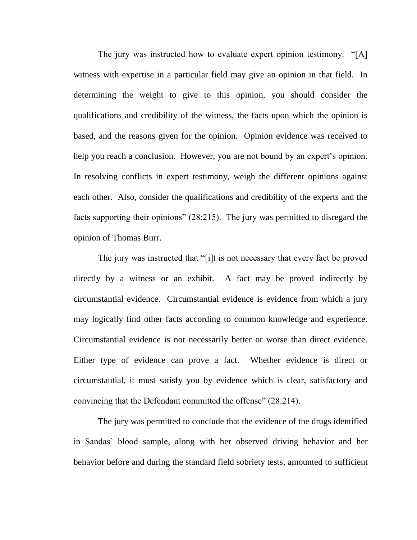The jury was instructed how to evaluate expert opinion testimony. "[A] witness with expertise in a particular field may give an opinion in that field. In determining the weight to give to this opinion, you should consider the qualifications and credibility of the witness, the facts upon which the opinion is based, and the reasons given for the opinion. Opinion evidence was received to help you reach a conclusion. However, you are not bound by an expert's opinion. In resolving conflicts in expert testimony, weigh the different opinions against each other. Also, consider the qualifications and credibility of the experts and the facts supporting their opinions" (28:215). The jury was permitted to disregard the opinion of Thomas Burr.

The jury was instructed that "[i]t is not necessary that every fact be proved directly by a witness or an exhibit. A fact may be proved indirectly by circumstantial evidence. Circumstantial evidence is evidence from which a jury may logically find other facts according to common knowledge and experience. Circumstantial evidence is not necessarily better or worse than direct evidence. Either type of evidence can prove a fact. Whether evidence is direct or circumstantial, it must satisfy you by evidence which is clear, satisfactory and convincing that the Defendant committed the offense" (28:214).

The jury was permitted to conclude that the evidence of the drugs identified in Sandas' blood sample, along with her observed driving behavior and her behavior before and during the standard field sobriety tests, amounted to sufficient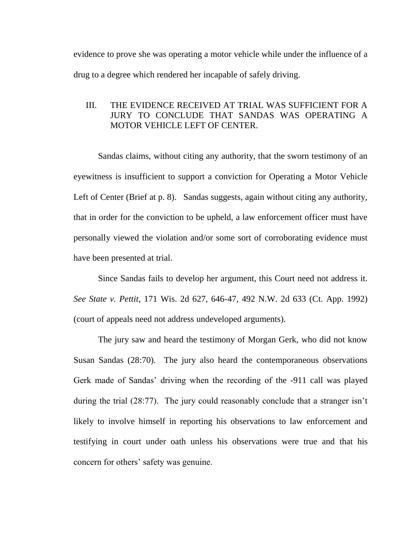evidence to prove she was operating a motor vehicle while under the influence of a drug to a degree which rendered her incapable of safely driving.

### III. THE EVIDENCE RECEIVED AT TRIAL WAS SUFFICIENT FOR A JURY TO CONCLUDE THAT SANDAS WAS OPERATING A MOTOR VEHICLE LEFT OF CENTER.

 Sandas claims, without citing any authority, that the sworn testimony of an eyewitness is insufficient to support a conviction for Operating a Motor Vehicle Left of Center (Brief at p. 8). Sandas suggests, again without citing any authority, that in order for the conviction to be upheld, a law enforcement officer must have personally viewed the violation and/or some sort of corroborating evidence must have been presented at trial.

 Since Sandas fails to develop her argument, this Court need not address it. *See State v. Pettit*, 171 Wis. 2d 627, 646-47, 492 N.W. 2d 633 (Ct. App. 1992) (court of appeals need not address undeveloped arguments).

The jury saw and heard the testimony of Morgan Gerk, who did not know Susan Sandas (28:70). The jury also heard the contemporaneous observations Gerk made of Sandas' driving when the recording of the -911 call was played during the trial (28:77). The jury could reasonably conclude that a stranger isn't likely to involve himself in reporting his observations to law enforcement and testifying in court under oath unless his observations were true and that his concern for others' safety was genuine.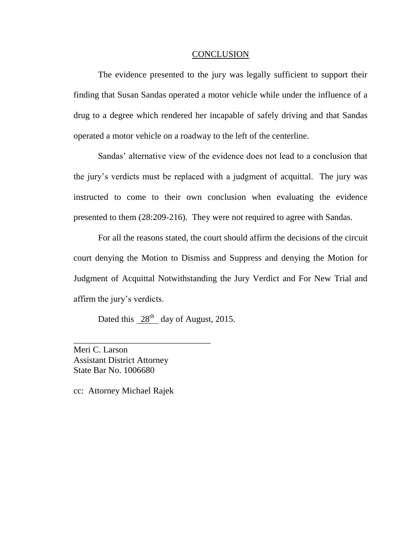#### **CONCLUSION**

 The evidence presented to the jury was legally sufficient to support their finding that Susan Sandas operated a motor vehicle while under the influence of a drug to a degree which rendered her incapable of safely driving and that Sandas operated a motor vehicle on a roadway to the left of the centerline.

Sandas' alternative view of the evidence does not lead to a conclusion that the jury's verdicts must be replaced with a judgment of acquittal. The jury was instructed to come to their own conclusion when evaluating the evidence presented to them (28:209-216). They were not required to agree with Sandas.

For all the reasons stated, the court should affirm the decisions of the circuit court denying the Motion to Dismiss and Suppress and denying the Motion for Judgment of Acquittal Notwithstanding the Jury Verdict and For New Trial and affirm the jury's verdicts.

Dated this  $28<sup>th</sup>$  day of August, 2015.

Meri C. Larson Assistant District Attorney State Bar No. 1006680

\_\_\_\_\_\_\_\_\_\_\_\_\_\_\_\_\_\_\_\_\_\_\_\_\_\_\_\_\_\_\_

cc: Attorney Michael Rajek